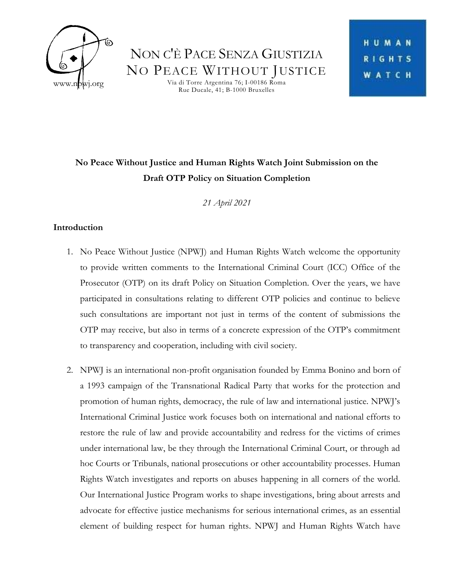

NON C'È PACE SENZA GIUSTIZIA NO PEACE WITHOUT JUSTICE

> Via di Torre Argentina 76; I-00186 Roma Rue Ducale, 41; B-1000 Bruxelles

# **No Peace Without Justice and Human Rights Watch Joint Submission on the Draft OTP Policy on Situation Completion**

*21 April 2021*

#### **Introduction**

- 1. No Peace Without Justice (NPWJ) and Human Rights Watch welcome the opportunity to provide written comments to the International Criminal Court (ICC) Office of the Prosecutor (OTP) on its draft Policy on Situation Completion. Over the years, we have participated in consultations relating to different OTP policies and continue to believe such consultations are important not just in terms of the content of submissions the OTP may receive, but also in terms of a concrete expression of the OTP's commitment to transparency and cooperation, including with civil society.
- 2. NPWJ is an international non-profit organisation founded by Emma Bonino and born of a 1993 campaign of the Transnational Radical Party that works for the protection and promotion of human rights, democracy, the rule of law and international justice. NPWJ's International Criminal Justice work focuses both on international and national efforts to restore the rule of law and provide accountability and redress for the victims of crimes under international law, be they through the International Criminal Court, or through ad hoc Courts or Tribunals, national prosecutions or other accountability processes. Human Rights Watch investigates and reports on abuses happening in all corners of the world. Our International Justice Program works to shape investigations, bring about arrests and advocate for effective justice mechanisms for serious international crimes, as an essential element of building respect for human rights. NPWJ and Human Rights Watch have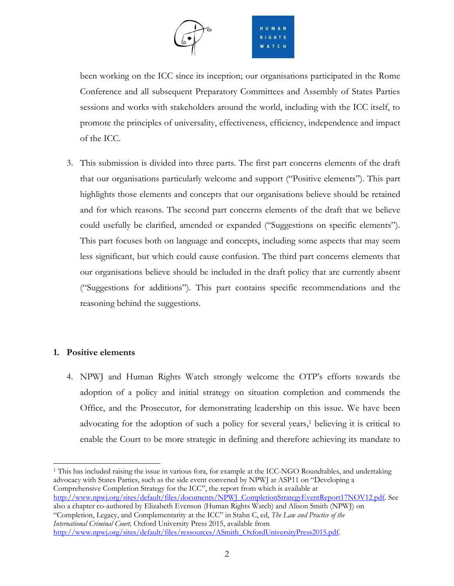

been working on the ICC since its inception; our organisations participated in the Rome Conference and all subsequent Preparatory Committees and Assembly of States Parties sessions and works with stakeholders around the world, including with the ICC itself, to promote the principles of universality, effectiveness, efficiency, independence and impact of the ICC.

3. This submission is divided into three parts. The first part concerns elements of the draft that our organisations particularly welcome and support ("Positive elements"). This part highlights those elements and concepts that our organisations believe should be retained and for which reasons. The second part concerns elements of the draft that we believe could usefully be clarified, amended or expanded ("Suggestions on specific elements"). This part focuses both on language and concepts, including some aspects that may seem less significant, but which could cause confusion. The third part concerns elements that our organisations believe should be included in the draft policy that are currently absent ("Suggestions for additions"). This part contains specific recommendations and the reasoning behind the suggestions.

## **1. Positive elements**

4. NPWJ and Human Rights Watch strongly welcome the OTP's efforts towards the adoption of a policy and initial strategy on situation completion and commends the Office, and the Prosecutor, for demonstrating leadership on this issue. We have been advocating for the adoption of such a policy for several years, <sup>1</sup> believing it is critical to enable the Court to be more strategic in defining and therefore achieving its mandate to

<sup>1</sup> This has included raising the issue in various fora, for example at the ICC-NGO Roundtables, and undertaking advocacy with States Parties, such as the side event convened by NPWJ at ASP11 on "Developing a Comprehensive Completion Strategy for the ICC", the report from which is available at [http://www.npwj.org/sites/default/files/documents/NPWJ\\_CompletionStrategyEventReport17NOV12.pdf.](http://www.npwj.org/sites/default/files/documents/NPWJ_CompletionStrategyEventReport17NOV12.pdf) See also a chapter co-authored by Elizabeth Evenson (Human Rights Watch) and Alison Smith (NPWJ) on "Completion, Legacy, and Complementarity at the ICC" in Stahn C, ed, *The Law and Practice of the International Criminal Court,* Oxford University Press 2015, available from [http://www.npwj.org/sites/default/files/ressources/ASmith\\_OxfordUniversityPress2015.pdf.](http://www.npwj.org/sites/default/files/ressources/ASmith_OxfordUniversityPress2015.pdf)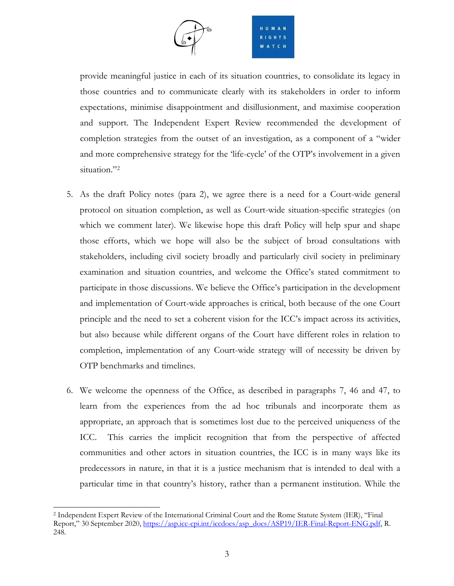

provide meaningful justice in each of its situation countries, to consolidate its legacy in those countries and to communicate clearly with its stakeholders in order to inform expectations, minimise disappointment and disillusionment, and maximise cooperation and support. The Independent Expert Review recommended the development of completion strategies from the outset of an investigation, as a component of a "wider and more comprehensive strategy for the 'life-cycle' of the OTP's involvement in a given situation." 2

- 5. As the draft Policy notes (para 2), we agree there is a need for a Court-wide general protocol on situation completion, as well as Court-wide situation-specific strategies (on which we comment later). We likewise hope this draft Policy will help spur and shape those efforts, which we hope will also be the subject of broad consultations with stakeholders, including civil society broadly and particularly civil society in preliminary examination and situation countries, and welcome the Office's stated commitment to participate in those discussions. We believe the Office's participation in the development and implementation of Court-wide approaches is critical, both because of the one Court principle and the need to set a coherent vision for the ICC's impact across its activities, but also because while different organs of the Court have different roles in relation to completion, implementation of any Court-wide strategy will of necessity be driven by OTP benchmarks and timelines.
- 6. We welcome the openness of the Office, as described in paragraphs 7, 46 and 47, to learn from the experiences from the ad hoc tribunals and incorporate them as appropriate, an approach that is sometimes lost due to the perceived uniqueness of the ICC. This carries the implicit recognition that from the perspective of affected communities and other actors in situation countries, the ICC is in many ways like its predecessors in nature, in that it is a justice mechanism that is intended to deal with a particular time in that country's history, rather than a permanent institution. While the

<sup>2</sup> Independent Expert Review of the International Criminal Court and the Rome Statute System (IER), "Final Report," 30 September 2020, [https://asp.icc-cpi.int/iccdocs/asp\\_docs/ASP19/IER-Final-Report-ENG.pdf,](https://asp.icc-cpi.int/iccdocs/asp_docs/ASP19/IER-Final-Report-ENG.pdf) R. 248.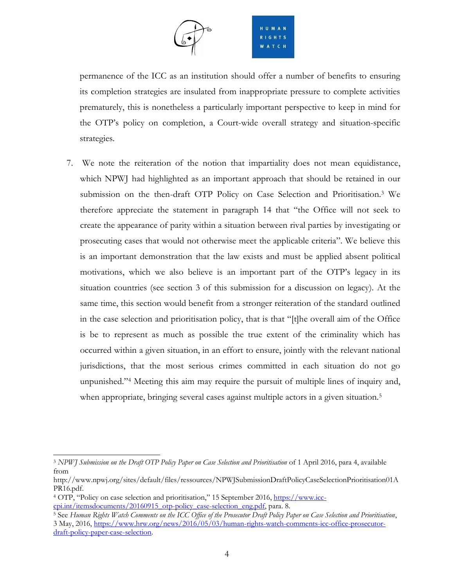

permanence of the ICC as an institution should offer a number of benefits to ensuring its completion strategies are insulated from inappropriate pressure to complete activities prematurely, this is nonetheless a particularly important perspective to keep in mind for the OTP's policy on completion, a Court-wide overall strategy and situation-specific strategies.

7. We note the reiteration of the notion that impartiality does not mean equidistance, which NPWJ had highlighted as an important approach that should be retained in our submission on the then-draft OTP Policy on Case Selection and Prioritisation. <sup>3</sup> We therefore appreciate the statement in paragraph 14 that "the Office will not seek to create the appearance of parity within a situation between rival parties by investigating or prosecuting cases that would not otherwise meet the applicable criteria". We believe this is an important demonstration that the law exists and must be applied absent political motivations, which we also believe is an important part of the OTP's legacy in its situation countries (see section 3 of this submission for a discussion on legacy). At the same time, this section would benefit from a stronger reiteration of the standard outlined in the case selection and prioritisation policy, that is that "[t]he overall aim of the Office is be to represent as much as possible the true extent of the criminality which has occurred within a given situation, in an effort to ensure, jointly with the relevant national jurisdictions, that the most serious crimes committed in each situation do not go unpunished." <sup>4</sup> Meeting this aim may require the pursuit of multiple lines of inquiry and, when appropriate, bringing several cases against multiple actors in a given situation.<sup>5</sup>

<sup>3</sup> *NPWJ Submission on the Draft OTP Policy Paper on Case Selection and Prioritisation* of 1 April 2016, para 4, available from

http://www.npwj.org/sites/default/files/ressources/NPWJSubmissionDraftPolicyCaseSelectionPrioritisation01A PR16.pdf.

<sup>4</sup> OTP, "Policy on case selection and prioritisation," 15 September 2016, [https://www.icc](https://www.icc-cpi.int/itemsdocuments/20160915_otp-policy_case-selection_eng.pdf)[cpi.int/itemsdocuments/20160915\\_otp-policy\\_case-selection\\_eng.pdf,](https://www.icc-cpi.int/itemsdocuments/20160915_otp-policy_case-selection_eng.pdf) para. 8.

<sup>5</sup> See *Human Rights Watch Comments on the ICC Office of the Prosecutor Draft Policy Paper on Case Selection and Prioritisation*, 3 May, 2016[, https://www.hrw.org/news/2016/05/03/human-rights-watch-comments-icc-office-prosecutor](https://www.hrw.org/news/2016/05/03/human-rights-watch-comments-icc-office-prosecutor-draft-policy-paper-case-selection)[draft-policy-paper-case-selection.](https://www.hrw.org/news/2016/05/03/human-rights-watch-comments-icc-office-prosecutor-draft-policy-paper-case-selection)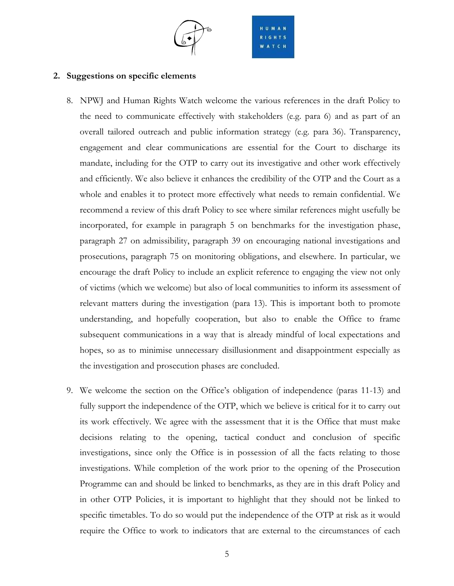

#### **2. Suggestions on specific elements**

- 8. NPWJ and Human Rights Watch welcome the various references in the draft Policy to the need to communicate effectively with stakeholders (e.g. para 6) and as part of an overall tailored outreach and public information strategy (e.g. para 36). Transparency, engagement and clear communications are essential for the Court to discharge its mandate, including for the OTP to carry out its investigative and other work effectively and efficiently. We also believe it enhances the credibility of the OTP and the Court as a whole and enables it to protect more effectively what needs to remain confidential. We recommend a review of this draft Policy to see where similar references might usefully be incorporated, for example in paragraph 5 on benchmarks for the investigation phase, paragraph 27 on admissibility, paragraph 39 on encouraging national investigations and prosecutions, paragraph 75 on monitoring obligations, and elsewhere. In particular, we encourage the draft Policy to include an explicit reference to engaging the view not only of victims (which we welcome) but also of local communities to inform its assessment of relevant matters during the investigation (para 13). This is important both to promote understanding, and hopefully cooperation, but also to enable the Office to frame subsequent communications in a way that is already mindful of local expectations and hopes, so as to minimise unnecessary disillusionment and disappointment especially as the investigation and prosecution phases are concluded.
- 9. We welcome the section on the Office's obligation of independence (paras 11-13) and fully support the independence of the OTP, which we believe is critical for it to carry out its work effectively. We agree with the assessment that it is the Office that must make decisions relating to the opening, tactical conduct and conclusion of specific investigations, since only the Office is in possession of all the facts relating to those investigations. While completion of the work prior to the opening of the Prosecution Programme can and should be linked to benchmarks, as they are in this draft Policy and in other OTP Policies, it is important to highlight that they should not be linked to specific timetables. To do so would put the independence of the OTP at risk as it would require the Office to work to indicators that are external to the circumstances of each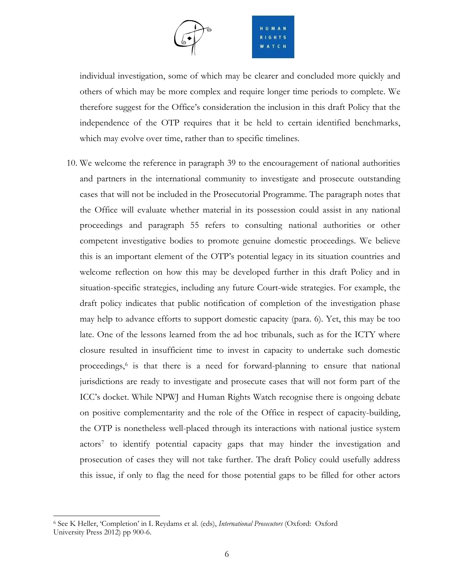

individual investigation, some of which may be clearer and concluded more quickly and others of which may be more complex and require longer time periods to complete. We therefore suggest for the Office's consideration the inclusion in this draft Policy that the independence of the OTP requires that it be held to certain identified benchmarks, which may evolve over time, rather than to specific timelines.

10. We welcome the reference in paragraph 39 to the encouragement of national authorities and partners in the international community to investigate and prosecute outstanding cases that will not be included in the Prosecutorial Programme. The paragraph notes that the Office will evaluate whether material in its possession could assist in any national proceedings and paragraph 55 refers to consulting national authorities or other competent investigative bodies to promote genuine domestic proceedings. We believe this is an important element of the OTP's potential legacy in its situation countries and welcome reflection on how this may be developed further in this draft Policy and in situation-specific strategies, including any future Court-wide strategies. For example, the draft policy indicates that public notification of completion of the investigation phase may help to advance efforts to support domestic capacity (para. 6). Yet, this may be too late. One of the lessons learned from the ad hoc tribunals, such as for the ICTY where closure resulted in insufficient time to invest in capacity to undertake such domestic proceedings, 6 is that there is a need for forward-planning to ensure that national jurisdictions are ready to investigate and prosecute cases that will not form part of the ICC's docket. While NPWJ and Human Rights Watch recognise there is ongoing debate on positive complementarity and the role of the Office in respect of capacity-building, the OTP is nonetheless well-placed through its interactions with national justice system actors<sup>7</sup> to identify potential capacity gaps that may hinder the investigation and prosecution of cases they will not take further. The draft Policy could usefully address this issue, if only to flag the need for those potential gaps to be filled for other actors

<sup>6</sup> See K Heller, 'Completion' in L Reydams et al. (eds), *International Prosecutors* (Oxford: Oxford University Press 2012) pp 900-6.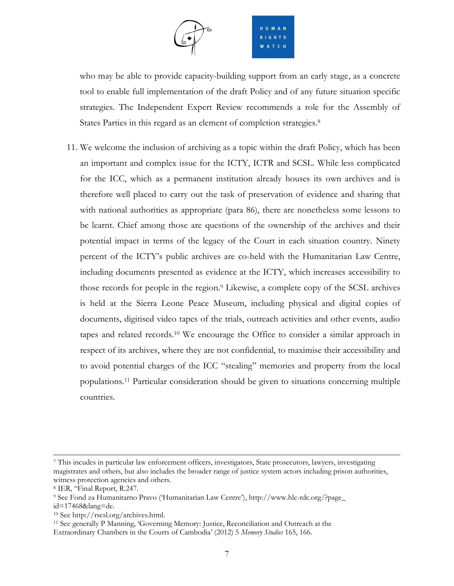

who may be able to provide capacity-building support from an early stage, as a concrete tool to enable full implementation of the draft Policy and of any future situation specific strategies. The Independent Expert Review recommends a role for the Assembly of States Parties in this regard as an element of completion strategies.<sup>8</sup>

11. We welcome the inclusion of archiving as a topic within the draft Policy, which has been an important and complex issue for the ICTY, ICTR and SCSL. While less complicated for the ICC, which as a permanent institution already houses its own archives and is therefore well placed to carry out the task of preservation of evidence and sharing that with national authorities as appropriate (para 86), there are nonetheless some lessons to be learnt. Chief among those are questions of the ownership of the archives and their potential impact in terms of the legacy of the Court in each situation country. Ninety percent of the ICTY's public archives are co-held with the Humanitarian Law Centre, including documents presented as evidence at the ICTY, which increases accessibility to those records for people in the region.<sup>9</sup> Likewise, a complete copy of the SCSL archives is held at the Sierra Leone Peace Museum, including physical and digital copies of documents, digitised video tapes of the trials, outreach activities and other events, audio tapes and related records. <sup>10</sup> We encourage the Office to consider a similar approach in respect of its archives, where they are not confidential, to maximise their accessibility and to avoid potential charges of the ICC "stealing" memories and property from the local populations.<sup>11</sup> Particular consideration should be given to situations concerning multiple countries.

<sup>10</sup> See http://rscsl.org/archives.html.

<sup>7</sup> This incudes in particular law enforcement officers, investigators, State prosecutors, lawyers, investigating magistrates and others, but also includes the broader range of justice system actors including prison authorities, witness protection agencies and others.

<sup>8</sup> IER, "Final Report, R.247.

<sup>9</sup> See Fond za Humanitarno Pravo ('Humanitarian Law Centre'), http://www.hlc-rdc.org/?page\_ id=17468&lang=de.

<sup>11</sup> See generally P Manning, 'Governing Memory: Justice, Reconciliation and Outreach at the Extraordinary Chambers in the Courts of Cambodia' (2012) 5 *Memory Studies* 165, 166.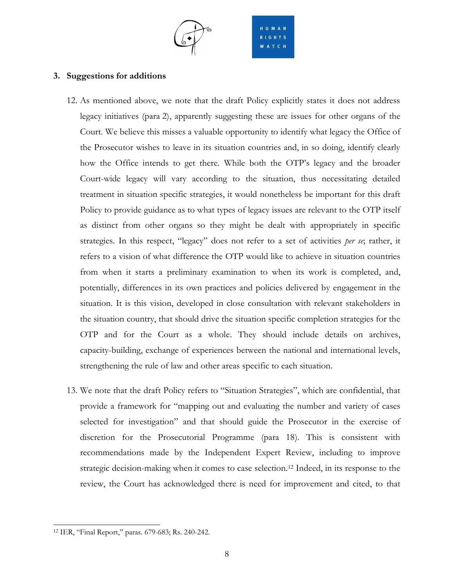

#### **3. Suggestions for additions**

- 12. As mentioned above, we note that the draft Policy explicitly states it does not address legacy initiatives (para 2), apparently suggesting these are issues for other organs of the Court. We believe this misses a valuable opportunity to identify what legacy the Office of the Prosecutor wishes to leave in its situation countries and, in so doing, identify clearly how the Office intends to get there. While both the OTP's legacy and the broader Court-wide legacy will vary according to the situation, thus necessitating detailed treatment in situation specific strategies, it would nonetheless be important for this draft Policy to provide guidance as to what types of legacy issues are relevant to the OTP itself as distinct from other organs so they might be dealt with appropriately in specific strategies. In this respect, "legacy" does not refer to a set of activities *per se*; rather, it refers to a vision of what difference the OTP would like to achieve in situation countries from when it starts a preliminary examination to when its work is completed, and, potentially, differences in its own practices and policies delivered by engagement in the situation. It is this vision, developed in close consultation with relevant stakeholders in the situation country, that should drive the situation specific completion strategies for the OTP and for the Court as a whole. They should include details on archives, capacity-building, exchange of experiences between the national and international levels, strengthening the rule of law and other areas specific to each situation.
- 13. We note that the draft Policy refers to "Situation Strategies", which are confidential, that provide a framework for "mapping out and evaluating the number and variety of cases selected for investigation" and that should guide the Prosecutor in the exercise of discretion for the Prosecutorial Programme (para 18). This is consistent with recommendations made by the Independent Expert Review, including to improve strategic decision-making when it comes to case selection.<sup>12</sup> Indeed, in its response to the review, the Court has acknowledged there is need for improvement and cited, to that

<sup>12</sup> IER, "Final Report," paras. 679-683; Rs. 240-242.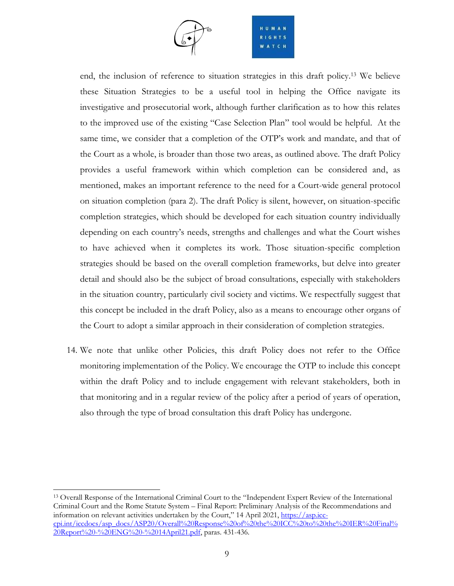

end, the inclusion of reference to situation strategies in this draft policy. <sup>13</sup> We believe these Situation Strategies to be a useful tool in helping the Office navigate its investigative and prosecutorial work, although further clarification as to how this relates to the improved use of the existing "Case Selection Plan" tool would be helpful. At the same time, we consider that a completion of the OTP's work and mandate, and that of the Court as a whole, is broader than those two areas, as outlined above. The draft Policy provides a useful framework within which completion can be considered and, as mentioned, makes an important reference to the need for a Court-wide general protocol on situation completion (para 2). The draft Policy is silent, however, on situation-specific completion strategies, which should be developed for each situation country individually depending on each country's needs, strengths and challenges and what the Court wishes to have achieved when it completes its work. Those situation-specific completion strategies should be based on the overall completion frameworks, but delve into greater detail and should also be the subject of broad consultations, especially with stakeholders in the situation country, particularly civil society and victims. We respectfully suggest that this concept be included in the draft Policy, also as a means to encourage other organs of the Court to adopt a similar approach in their consideration of completion strategies.

14. We note that unlike other Policies, this draft Policy does not refer to the Office monitoring implementation of the Policy. We encourage the OTP to include this concept within the draft Policy and to include engagement with relevant stakeholders, both in that monitoring and in a regular review of the policy after a period of years of operation, also through the type of broad consultation this draft Policy has undergone.

<sup>13</sup> Overall Response of the International Criminal Court to the "Independent Expert Review of the International Criminal Court and the Rome Statute System – Final Report: Preliminary Analysis of the Recommendations and information on relevant activities undertaken by the Court," 14 April 2021, [https://asp.icc](https://asp.icc-cpi.int/iccdocs/asp_docs/ASP20/Overall%20Response%20of%20the%20ICC%20to%20the%20IER%20Final%20Report%20-%20ENG%20-%2014April21.pdf)[cpi.int/iccdocs/asp\\_docs/ASP20/Overall%20Response%20of%20the%20ICC%20to%20the%20IER%20Final%](https://asp.icc-cpi.int/iccdocs/asp_docs/ASP20/Overall%20Response%20of%20the%20ICC%20to%20the%20IER%20Final%20Report%20-%20ENG%20-%2014April21.pdf) [20Report%20-%20ENG%20-%2014April21.pdf,](https://asp.icc-cpi.int/iccdocs/asp_docs/ASP20/Overall%20Response%20of%20the%20ICC%20to%20the%20IER%20Final%20Report%20-%20ENG%20-%2014April21.pdf) paras. 431-436.